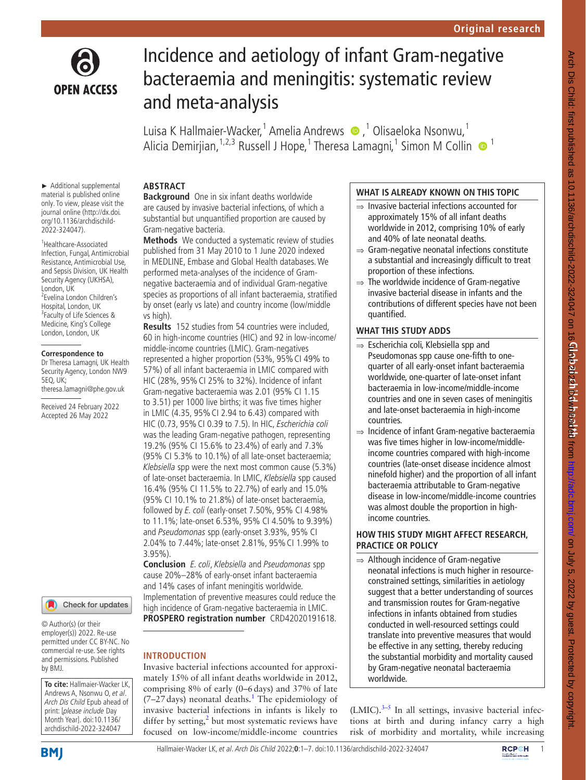

# Incidence and aetiology of infant Gram-negative bacteraemia and meningitis: systematic review and meta-analysis

LuisaK Hallmaier-Wacker,<sup>1</sup> Amelia Andrews (D, <sup>1</sup> Olisaeloka Nsonwu,<sup>1</sup> Alicia Demirjian,<sup>1,2,3</sup> Russell J Hope,<sup>1</sup> Theresa Lamagni,<sup>1</sup> Simon M Collin · <sup>1</sup>

#### ► Additional supplemental material is published online only. To view, please visit the journal online ([http://dx.doi.](http://dx.doi.org/10.1136/archdischild-2022-324047) [org/10.1136/archdischild-](http://dx.doi.org/10.1136/archdischild-2022-324047)[2022-324047\)](http://dx.doi.org/10.1136/archdischild-2022-324047).

1 Healthcare-Associated Infection, Fungal, Antimicrobial Resistance, Antimicrobial Use, and Sepsis Division, UK Health Security Agency (UKHSA), London, UK 2 Evelina London Children's Hospital, London, UK <sup>3</sup> Faculty of Life Sciences & Medicine, King's College London, London, UK

#### **Correspondence to**

Dr Theresa Lamagni, UK Health Security Agency, London NW9 5EQ, UK; theresa.lamagni@phe.gov.uk

Received 24 February 2022 Accepted 26 May 2022



© Author(s) (or their employer(s)) 2022. Re-use permitted under CC BY-NC. No commercial re-use. See rights and permissions. Published by BMJ.

**To cite:** Hallmaier-Wacker LK, Andrews A, Nsonwu O, et al. Arch Dis Child Epub ahead of print: [please include Day Month Year]. doi:10.1136/ archdischild-2022-324047

## **ABSTRACT**

**Background** One in six infant deaths worldwide are caused by invasive bacterial infections, of which a substantial but unquantified proportion are caused by Gram-negative bacteria.

**Methods** We conducted a systematic review of studies published from 31 May 2010 to 1 June 2020 indexed in MEDLINE, Embase and Global Health databases. We performed meta-analyses of the incidence of Gramnegative bacteraemia and of individual Gram-negative species as proportions of all infant bacteraemia, stratified by onset (early vs late) and country income (low/middle vs high).

**Results** 152 studies from 54 countries were included, 60 in high-income countries (HIC) and 92 in low-income/ middle-income countries (LMIC). Gram-negatives represented a higher proportion (53%, 95%CI 49% to 57%) of all infant bacteraemia in LMIC compared with HIC (28%, 95%CI 25% to 32%). Incidence of infant Gram-negative bacteraemia was 2.01 (95% CI 1.15 to 3.51) per 1000 live births; it was five times higher in LMIC (4.35, 95%CI 2.94 to 6.43) compared with HIC (0.73, 95%CI 0.39 to 7.5). In HIC, Escherichia coli was the leading Gram-negative pathogen, representing 19.2% (95% CI 15.6% to 23.4%) of early and 7.3% (95% CI 5.3% to 10.1%) of all late-onset bacteraemia; Klebsiella spp were the next most common cause (5.3%) of late-onset bacteraemia. In LMIC, Klebsiella spp caused 16.4% (95% CI 11.5% to 22.7%) of early and 15.0% (95% CI 10.1% to 21.8%) of late-onset bacteraemia, followed by E. coli (early-onset 7.50%, 95% CI 4.98% to 11.1%; late-onset 6.53%, 95% CI 4.50% to 9.39%) and Pseudomonas spp (early-onset 3.93%, 95% CI 2.04% to 7.44%; late-onset 2.81%, 95%CI 1.99% to 3.95%).

**Conclusion** E. coli, Klebsiella and Pseudomonas spp cause 20%–28% of early-onset infant bacteraemia and 14% cases of infant meningitis worldwide. Implementation of preventive measures could reduce the high incidence of Gram-negative bacteraemia in LMIC. **PROSPERO registration number** CRD42020191618.

## **INTRODUCTION**

Invasive bacterial infections accounted for approximately 15% of all infant deaths worldwide in 2012, comprising 8% of early (0–6days) and 37% of late  $(7-27 \text{ days})$  neonatal deaths.<sup>[1](#page-5-0)</sup> The epidemiology of invasive bacterial infections in infants is likely to differ by setting, $2$  but most systematic reviews have focused on low-income/middle-income countries

## **WHAT IS ALREADY KNOWN ON THIS TOPIC**

- ⇒ Invasive bacterial infections accounted for approximately 15% of all infant deaths worldwide in 2012, comprising 10% of early and 40% of late neonatal deaths.
- ⇒ Gram-negative neonatal infections constitute a substantial and increasingly difficult to treat proportion of these infections.
- $\Rightarrow$  The worldwide incidence of Gram-negative invasive bacterial disease in infants and the contributions of different species have not been quantified.

## **WHAT THIS STUDY ADDS**

- ⇒ Escherichia coli, Klebsiella spp and Pseudomonas spp cause one-fifth to onequarter of all early-onset infant bacteraemia worldwide, one-quarter of late-onset infant bacteraemia in low-income/middle-income countries and one in seven cases of meningitis and late-onset bacteraemia in high-income countries.
- ⇒ Incidence of infant Gram-negative bacteraemia was five times higher in low-income/middleincome countries compared with high-income countries (late-onset disease incidence almost ninefold higher) and the proportion of all infant bacteraemia attributable to Gram-negative disease in low-income/middle-income countries was almost double the proportion in highincome countries.

## **HOW THIS STUDY MIGHT AFFECT RESEARCH, PRACTICE OR POLICY**

⇒ Although incidence of Gram-negative neonatal infections is much higher in resourceconstrained settings, similarities in aetiology suggest that a better understanding of sources and transmission routes for Gram-negative infections in infants obtained from studies conducted in well-resourced settings could translate into preventive measures that would be effective in any setting, thereby reducing the substantial morbidity and mortality caused by Gram-negative neonatal bacteraemia worldwide.

 $(LMIC).$ <sup>3-5</sup> In all settings, invasive bacterial infections at birth and during infancy carry a high risk of morbidity and mortality, while increasing

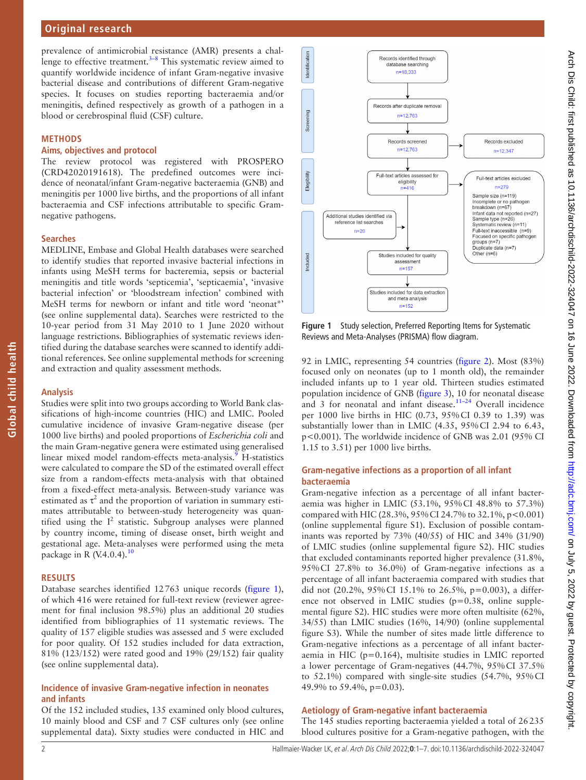## **Original research**

prevalence of antimicrobial resistance (AMR) presents a challenge to effective treatment.<sup>3-8</sup> This systematic review aimed to quantify worldwide incidence of infant Gram-negative invasive bacterial disease and contributions of different Gram-negative species. It focuses on studies reporting bacteraemia and/or meningitis, defined respectively as growth of a pathogen in a blood or cerebrospinal fluid (CSF) culture.

#### **METHODS**

#### **Aims, objectives and protocol**

The review protocol was registered with PROSPERO (CRD42020191618). The predefined outcomes were incidence of neonatal/infant Gram-negative bacteraemia (GNB) and meningitis per 1000 live births, and the proportions of all infant bacteraemia and CSF infections attributable to specific Gramnegative pathogens.

#### **Searches**

MEDLINE, Embase and Global Health databases were searched to identify studies that reported invasive bacterial infections in infants using MeSH terms for bacteremia, sepsis or bacterial meningitis and title words 'septicemia', 'septicaemia', 'invasive bacterial infection' or 'bloodstream infection' combined with MeSH terms for newborn or infant and title word 'neonat\*' (see [online supplemental data\)](https://dx.doi.org/10.1136/archdischild-2022-324047). Searches were restricted to the 10-year period from 31 May 2010 to 1 June 2020 without language restrictions. Bibliographies of systematic reviews identified during the database searches were scanned to identify additional references. See [online supplemental methods](https://dx.doi.org/10.1136/archdischild-2022-324047) for screening and extraction and quality assessment methods.

#### **Analysis**

Studies were split into two groups according to World Bank classifications of high-income countries (HIC) and LMIC. Pooled cumulative incidence of invasive Gram-negative disease (per 1000 live births) and pooled proportions of *Escherichia coli* and the main Gram-negative genera were estimated using generalised linear mixed model random-effects meta-analysis.<sup>[9](#page-5-3)</sup> H-statistics were calculated to compare the SD of the estimated overall effect size from a random-effects meta-analysis with that obtained from a fixed-effect meta-analysis. Between-study variance was estimated as  $\tau^2$  and the proportion of variation in summary estimates attributable to between-study heterogeneity was quantified using the  $I^2$  statistic. Subgroup analyses were planned by country income, timing of disease onset, birth weight and gestational age. Meta-analyses were performed using the meta package in R  $(V.4.0.4).^{10}$  $(V.4.0.4).^{10}$  $(V.4.0.4).^{10}$ 

#### **RESULTS**

Database searches identified 12763 unique records ([figure](#page-1-0) 1), of which 416 were retained for full-text review (reviewer agreement for final inclusion 98.5%) plus an additional 20 studies identified from bibliographies of 11 systematic reviews. The quality of 157 eligible studies was assessed and 5 were excluded for poor quality. Of 152 studies included for data extraction, 81% (123/152) were rated good and 19% (29/152) fair quality (see [online supplemental data\)](https://dx.doi.org/10.1136/archdischild-2022-324047).

### **Incidence of invasive Gram-negative infection in neonates and infants**

Of the 152 included studies, 135 examined only blood cultures, 10 mainly blood and CSF and 7 CSF cultures only (see [online](https://dx.doi.org/10.1136/archdischild-2022-324047)  [supplemental data](https://dx.doi.org/10.1136/archdischild-2022-324047)). Sixty studies were conducted in HIC and



<span id="page-1-0"></span>**Figure 1** Study selection, Preferred Reporting Items for Systematic Reviews and Meta-Analyses (PRISMA) flow diagram.

92 in LMIC, representing 54 countries [\(figure](#page-2-0) 2). Most (83%) focused only on neonates (up to 1 month old), the remainder included infants up to 1 year old. Thirteen studies estimated population incidence of GNB [\(figure](#page-2-1) 3), 10 for neonatal disease and 3 for neonatal and infant disease.<sup>11-24</sup> Overall incidence per 1000 live births in HIC (0.73, 95%CI 0.39 to 1.39) was substantially lower than in LMIC (4.35, 95%CI 2.94 to 6.43, p<0.001). The worldwide incidence of GNB was 2.01 (95% CI 1.15 to 3.51) per 1000 live births.

#### **Gram-negative infections as a proportion of all infant bacteraemia**

Gram-negative infection as a percentage of all infant bacteraemia was higher in LMIC (53.1%, 95%CI 48.8% to 57.3%) compared with HIC (28.3%, 95%CI 24.7% to 32.1%, p<0.001) ([online supplemental figure S1\)](https://dx.doi.org/10.1136/archdischild-2022-324047). Exclusion of possible contaminants was reported by 73% (40/55) of HIC and 34% (31/90) of LMIC studies ([online supplemental figure S2](https://dx.doi.org/10.1136/archdischild-2022-324047)). HIC studies that excluded contaminants reported higher prevalence (31.8%, 95%CI 27.8% to 36.0%) of Gram-negative infections as a percentage of all infant bacteraemia compared with studies that did not (20.2%, 95%CI 15.1% to 26.5%, p=0.003), a difference not observed in LMIC studies (p=0.38, [online supple](https://dx.doi.org/10.1136/archdischild-2022-324047)[mental figure S2](https://dx.doi.org/10.1136/archdischild-2022-324047)). HIC studies were more often multisite (62%, 34/55) than LMIC studies (16%, 14/90) [\(online supplemental](https://dx.doi.org/10.1136/archdischild-2022-324047) [figure S3](https://dx.doi.org/10.1136/archdischild-2022-324047)). While the number of sites made little difference to Gram-negative infections as a percentage of all infant bacteraemia in HIC (p=0.164), multisite studies in LMIC reported a lower percentage of Gram-negatives (44.7%, 95%CI 37.5% to 52.1%) compared with single-site studies (54.7%, 95%CI 49.9% to 59.4%, p=0.03).

#### **Aetiology of Gram-negative infant bacteraemia**

The 145 studies reporting bacteraemia yielded a total of 26235 blood cultures positive for a Gram-negative pathogen, with the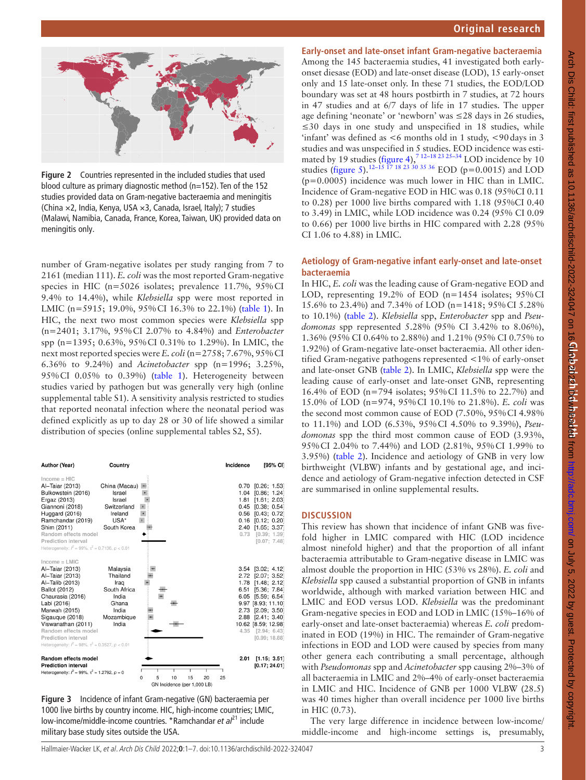

<span id="page-2-0"></span>**Figure 2** Countries represented in the included studies that used blood culture as primary diagnostic method (n=152). Ten of the 152 studies provided data on Gram-negative bacteraemia and meningitis (China ×2, India, Kenya, USA ×3, Canada, Israel, Italy); 7 studies (Malawi, Namibia, Canada, France, Korea, Taiwan, UK) provided data on meningitis only.

number of Gram-negative isolates per study ranging from 7 to 2161 (median 111). *E. coli* was the most reported Gram-negative species in HIC (n=5026 isolates; prevalence 11.7%, 95%CI 9.4% to 14.4%), while *Klebsiella* spp were most reported in LMIC (n=5915; 19.0%, 95% CI 16.3% to 22.1%) ([table](#page-3-0) 1). In HIC, the next two most common species were *Klebsiella* spp (n=2401; 3.17%, 95%CI 2.07% to 4.84%) and *Enterobacter* spp (n=1395; 0.63%, 95%CI 0.31% to 1.29%). In LMIC, the next most reported species were *E. coli* (n=2758; 7.67%, 95%CI 6.36% to 9.24%) and *Acinetobacter* spp (n=1996; 3.25%, 95%CI 0.05% to 0.39%) ([table](#page-3-0) 1). Heterogeneity between studies varied by pathogen but was generally very high [\(online](https://dx.doi.org/10.1136/archdischild-2022-324047)  [supplemental table S1\)](https://dx.doi.org/10.1136/archdischild-2022-324047). A sensitivity analysis restricted to studies that reported neonatal infection where the neonatal period was defined explicitly as up to day 28 or 30 of life showed a similar distribution of species ([online supplemental tables S2, S5\)](https://dx.doi.org/10.1136/archdischild-2022-324047).

| Author (Year)                                                                                                                                                                                                                                                                                   | Country                                                                                        |                                                               | Incidence                                            | [95% CI]                                                                                                                                                                                                                 |
|-------------------------------------------------------------------------------------------------------------------------------------------------------------------------------------------------------------------------------------------------------------------------------------------------|------------------------------------------------------------------------------------------------|---------------------------------------------------------------|------------------------------------------------------|--------------------------------------------------------------------------------------------------------------------------------------------------------------------------------------------------------------------------|
| $Income = HIC$<br>Al-Taiar (2013)<br>Bulkowstein (2016)<br>Ergaz (2013)<br>Giannoni (2018)<br>Huggard (2016)<br>Ramchandar (2019)<br>Shim (2011)<br>Random effects model<br>Prediction interval<br>Heterogeneity: $l^2 = 99\%$ , $\tau^2 = 0.7136$ , $p < 0.01$                                 | China (Macau)<br>Israel<br>Israel<br>Switzerland<br>Ireland<br>USA*<br>South Korea             |                                                               | 1.04<br>1.81<br>0.45<br>0.56<br>0.16<br>2.40<br>0.73 | $0.70$ $[0.26; 1.53]$<br>[0.86; 1.24]<br>[1.61; 2.03]<br>[0.38; 0.54]<br>[0.43: 0.72]<br>[0.12; 0.20]<br>[1.65; 3.37]<br>[0.39; 1.39]<br>[0.07; 7.48]                                                                    |
| $Income = LMIC$<br>Al-Taiar (2013)<br>Al-Taiar (2013)<br>Al-Talib (2013)<br>Ballot (2012)<br>Chaurasia (2016)<br>Labi (2016)<br>Marwah (2015)<br>Sigauque (2018)<br>Viswanathan (2011)<br>Random effects model<br>Prediction interval<br>Heterogeneity: $l^2 = 98\%, \tau^2 = 0.3527, p < 0.01$ | Malaysia<br>Thailand<br>Iraq<br>South Africa<br>India<br>Ghana<br>India<br>Mozambique<br>India |                                                               | 1.78<br>6.51                                         | 3.54 [3.02; 4.12]<br>2.72 [2.07; 3.52]<br>[1.48; 2.12]<br>[5.36; 7.84]<br>6.05 [5.59; 6.54]<br>9.97 [8.93; 11.10]<br>2.73 [2.09; 3.50]<br>2.88 [2.41; 3.40]<br>10.62 [8.59; 12.98]<br>4.35 [2.94; 6.43]<br>[0.99; 18.88] |
| Random effects model<br><b>Prediction interval</b><br>Heterogeneity: $l^2 = 99\%$ , $\tau^2 = 1.2792$ , $p = 0$                                                                                                                                                                                 |                                                                                                | 5<br>10<br>15<br>20<br>25<br>0<br>GN Incidence (per 1,000 LB) | 2.01                                                 | [1.15; 3.51]<br>[0.17: 24.01]                                                                                                                                                                                            |

<span id="page-2-1"></span>**Figure 3** Incidence of infant Gram-negative (GN) bacteraemia per 1000 live births by country income. HIC, high-income countries; LMIC, low-income/middle-income countries. \*Ramchandar *et al*<sup>21</sup> include military base study sites outside the USA.

## **Early-onset and late-onset infant Gram-negative bacteraemia**

Among the 145 bacteraemia studies, 41 investigated both earlyonset diesase (EOD) and late-onset disease (LOD), 15 early-onset only and 15 late-onset only. In these 71 studies, the EOD/LOD boundary was set at 48 hours postbirth in 7 studies, at 72 hours in 47 studies and at 6/7 days of life in 17 studies. The upper age defining 'neonate' or 'newborn' was ≤28 days in 26 studies, ≤30 days in one study and unspecified in 18 studies, while 'infant' was defined as <6 months old in 1 study, <90days in 3 studies and was unspecified in 5 studies. EOD incidence was estimated by 19 studies ([figure](#page-3-1) 4),<sup>712-18 23 25-34</sup> LOD incidence by 10 studies ([figure](#page-3-2) 5).<sup>12–15 17 18</sup> <sup>23</sup> 30 <sup>35</sup> 36</sup> EOD (p=0.0015) and LOD (p=0.0005) incidence was much lower in HIC than in LMIC. Incidence of Gram-negative EOD in HIC was 0.18 (95%CI 0.11 to 0.28) per 1000 live births compared with 1.18 (95%CI 0.40 to 3.49) in LMIC, while LOD incidence was 0.24 (95% CI 0.09 to 0.66) per 1000 live births in HIC compared with 2.28 (95% CI 1.06 to 4.88) in LMIC.

#### **Aetiology of Gram-negative infant early-onset and late-onset bacteraemia**

In HIC, *E. coli* was the leading cause of Gram-negative EOD and LOD, representing 19.2% of EOD (n=1454 isolates;  $95\%$ CI 15.6% to 23.4%) and 7.34% of LOD (n=1418; 95%CI 5.28% to 10.1%) ([table](#page-4-0) 2). *Klebsiella* spp, *Enterobacter* spp and *Pseudomonas* spp represented 5.28% (95% CI 3.42% to 8.06%), 1.36% (95% CI 0.64% to 2.88%) and 1.21% (95% CI 0.75% to 1.92%) of Gram-negative late-onset bacteraemia. All other identified Gram-negative pathogens represented <1% of early-onset and late-onset GNB ([table](#page-4-0) 2). In LMIC, *Klebsiella* spp were the leading cause of early-onset and late-onset GNB, representing 16.4% of EOD (n=794 isolates; 95%CI 11.5% to 22.7%) and 15.0% of LOD (n=974, 95%CI 10.1% to 21.8%). *E. coli* was the second most common cause of EOD (7.50%, 95%CI 4.98% to 11.1%) and LOD (6.53%, 95%CI 4.50% to 9.39%), *Pseudomonas* spp the third most common cause of EOD (3.93%, 95%CI 2.04% to 7.44%) and LOD (2.81%, 95%CI 1.99% to 3.95%) ([table](#page-4-0) 2). Incidence and aetiology of GNB in very low birthweight (VLBW) infants and by gestational age, and incidence and aetiology of Gram-negative infection detected in CSF are summarised in [online supplemental results](https://dx.doi.org/10.1136/archdischild-2022-324047).

#### **DISCUSSION**

This review has shown that incidence of infant GNB was fivefold higher in LMIC compared with HIC (LOD incidence almost ninefold higher) and that the proportion of all infant bacteraemia attributable to Gram-negative disease in LMIC was almost double the proportion in HIC (53% vs 28%). *E. coli* and *Klebsiella* spp caused a substantial proportion of GNB in infants worldwide, although with marked variation between HIC and LMIC and EOD versus LOD. *Klebsiella* was the predominant Gram-negative species in EOD and LOD in LMIC (15%–16% of early-onset and late-onset bacteraemia) whereas *E. coli* predominated in EOD (19%) in HIC. The remainder of Gram-negative infections in EOD and LOD were caused by species from many other genera each contributing a small percentage, although with *Pseudomonas* spp and *Acinetobacter* spp causing 2%–3% of all bacteraemia in LMIC and 2%–4% of early-onset bacteraemia in LMIC and HIC. Incidence of GNB per 1000 VLBW (28.5) was 40 times higher than overall incidence per 1000 live births in HIC (0.73).

The very large difference in incidence between low-income/ middle-income and high-income settings is, presumably,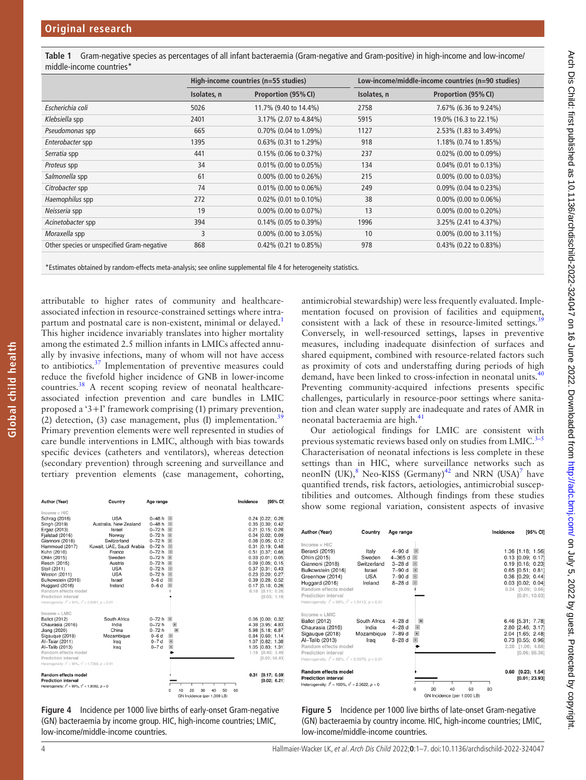<span id="page-3-0"></span>**Table 1** Gram-negative species as percentages of all infant bacteraemia (Gram-negative and Gram-positive) in high-income and low-income/ middle-income countries\*

| High-income countries (n=55 studies) |                          | Low-income/middle-income countries (n=90 studies) |                          |  |
|--------------------------------------|--------------------------|---------------------------------------------------|--------------------------|--|
| Isolates, n                          | Proportion (95% CI)      | Isolates, n                                       | Proportion (95% CI)      |  |
| 5026                                 | 11.7% (9.40 to 14.4%)    | 2758                                              | 7.67% (6.36 to 9.24%)    |  |
| 2401                                 | 3.17% (2.07 to 4.84%)    | 5915                                              | 19.0% (16.3 to 22.1%)    |  |
| 665                                  | 0.70% (0.04 to 1.09%)    | 1127                                              | 2.53% (1.83 to 3.49%)    |  |
| 1395                                 | 0.63% (0.31 to 1.29%)    | 918                                               | 1.18% (0.74 to 1.85%)    |  |
| 441                                  | 0.15% (0.06 to 0.37%)    | 237                                               | $0.02\%$ (0.00 to 0.09%) |  |
| 34                                   | 0.01% (0.00 to 0.05%)    | 134                                               | 0.04% (0.01 to 0.13%)    |  |
| 61                                   | $0.00\%$ (0.00 to 0.26%) | 215                                               | $0.00\%$ (0.00 to 0.03%) |  |
| 74                                   | $0.01\%$ (0.00 to 0.06%) | 249                                               | $0.09\%$ (0.04 to 0.23%) |  |
| 272                                  | 0.02% (0.01 to 0.10%)    | 38                                                | $0.00\%$ (0.00 to 0.06%) |  |
| 19                                   | $0.00\%$ (0.00 to 0.07%) | 13                                                | $0.00\%$ (0.00 to 0.20%) |  |
| 394                                  | $0.14\%$ (0.05 to 0.39%) | 1996                                              | 3.25% (2.41 to 4.37%)    |  |
| 3                                    | $0.00\%$ (0.00 to 3.05%) | 10                                                | 0.00% (0.00 to 3.11%)    |  |
| 868                                  | 0.42% (0.21 to 0.85%)    | 978                                               | 0.43% (0.22 to 0.83%)    |  |
|                                      |                          |                                                   |                          |  |

\*Estimates obtained by random-effects meta-analysis; see [online supplemental file 4](https://dx.doi.org/10.1136/archdischild-2022-324047) for heterogeneity statistics.

attributable to higher rates of community and healthcareassociated infection in resource-constrained settings where intrapartum and postnatal care is non-existent, minimal or delayed.<sup>1</sup> This higher incidence invariably translates into higher mortality among the estimated 2.5 million infants in LMICs affected annually by invasive infections, many of whom will not have access to antibiotics.<sup>37</sup> Implementation of preventive measures could reduce the fivefold higher incidence of GNB in lower-income countries.[38](#page-6-4) A recent scoping review of neonatal healthcareassociated infection prevention and care bundles in LMIC proposed a '3+I' framework comprising (1) primary prevention, (2) detection, (3) case management, plus (I) implementation.<sup>[39](#page-6-5)</sup> Primary prevention elements were well represented in studies of care bundle interventions in LMIC, although with bias towards specific devices (catheters and ventilators), whereas detection (secondary prevention) through screening and surveillance and tertiary prevention elements (case management, cohorting,

| Author (Year)                                                | Country                   | Age range                             |                             | Incidence | [95% CI]              |
|--------------------------------------------------------------|---------------------------|---------------------------------------|-----------------------------|-----------|-----------------------|
| $Income = HIC$                                               |                           |                                       |                             |           |                       |
| Schrag (2016)                                                | USA                       | $0-48h$ $\frac{1}{1}$                 |                             |           | $0.24$ [0.22; 0.26]   |
| Singh (2019)                                                 | Australia, New Zealand    | $0 - 48h$<br>$\mathbf{r}$             |                             |           | $0.35$ $[0.30; 0.42]$ |
| Ergaz (2013)                                                 | Israel                    | $0 - 72 h$                            |                             |           | $0.21$ $[0.15; 0.28]$ |
| Fjalstad (2016)                                              | Norway                    | 0-72 h<br>$\mathbf{r}$                |                             |           | $0.04$ [0.02; 0.09]   |
| Giannoni (2018)                                              | Switzerland               | $0-72h$<br>$\mathbf{H}$               |                             |           | $0.08$ $[0.05; 0.12]$ |
| Hammoud (2017)                                               | Kuwait, UAE, Saudi Arabia | 0-72 h                                |                             |           | $0.31$ $[0.19; 0.48]$ |
| Kuhn (2010)                                                  | France                    | $0 - 72h$<br>$\bullet$                |                             |           | $0.51$ [0.37; 0.68]   |
| Ohlin (2015)                                                 | Sweden                    | 0-72 h<br>$\mathbf{L}$                |                             |           | $0.03$ $[0.01; 0.05]$ |
| Resch (2015)                                                 | Austria                   | $0 - 72 h$                            |                             |           | $0.09$ [0.05; 0.15]   |
| Stoll (2011)                                                 | <b>USA</b>                | $0 - 72h$<br>$\mathbf{r}$             |                             |           | $0.37$ $[0.31; 0.43]$ |
| Weston (2011)                                                | <b>USA</b>                | $0 - 72h$<br>$\vert \mathbf{1} \vert$ |                             |           | $0.23$ [0.20; 0.27]   |
| Bulkowstein (2016)                                           | Israel                    | $0-6d$<br>$\blacksquare$              |                             |           | $0.39$ $[0.28; 0.52]$ |
| Huggard (2016)                                               | Ireland                   | $0-6d$<br>٠                           |                             |           | $0.17$ [0.10; 0.26]   |
| Random effects model                                         |                           |                                       |                             |           | $0.18$ $[0.11; 0.28]$ |
| Prediction interval                                          |                           |                                       |                             |           | [0.03; 1.18]          |
| Heterogeneity: $l^2 = 94\%$ , $\tau^2 = 0.6881$ , $p < 0.01$ |                           |                                       |                             |           |                       |
| $Income = LMIC$                                              |                           |                                       |                             |           |                       |
| <b>Ballot</b> (2012)                                         | South Africa              | $0 - 72 h$ $\rightarrow$              |                             |           | $0.06$ $[0.00; 0.32]$ |
| Chaurasia (2016)                                             | India                     | $0 - 72h$<br>$\bullet$                |                             |           | 4.38 [3.95; 4.83]     |
| Jiang (2020)                                                 | China                     | $0 - 72h$<br>$\pm$                    |                             |           | 5.98 [5.18; 6.87]     |
| Sigauque (2018)                                              | Mozambique                | $0-6d$<br>$\bullet$                   |                             |           | $0.84$ [0.60; 1.14]   |
| Al-Taiar (2011)                                              | Iraq                      | $\ddot{\bullet}$<br>$0 - 7d$          |                             |           | 1.07 [0.82; 1.38]     |
| Al-Talib (2013)                                              | Iraq                      | $\ddot{\bullet}$<br>$0 - 7d$          |                             |           | 1.05 [0.83; 1.31]     |
| Random effects model                                         |                           |                                       |                             |           | 1.18 [0.40; 3.49]     |
| Prediction interval                                          |                           |                                       |                             |           | [0.02; 58.43]         |
| Heterogeneity: $l^2 = 99\%, \tau^2 = 1.7269, p < 0.01$       |                           |                                       |                             |           |                       |
| Random effects model                                         |                           |                                       |                             | 0.31      | [0.17; 0.59]          |
| <b>Prediction interval</b>                                   |                           |                                       |                             |           | [0.02; 6.21]          |
| Heterogeneity: $l^2 = 99\%$ , $\tau^2 = 1.9092$ , $p = 0$    |                           |                                       |                             |           |                       |
|                                                              |                           | 10                                    | 20<br>50<br>30<br>40        | 60        |                       |
|                                                              |                           |                                       | GN Incidence (per 1 000 LB) |           |                       |

<span id="page-3-1"></span>**Figure 4** Incidence per 1000 live births of early-onset Gram-negative (GN) bacteraemia by income group. HIC, high-income countries; LMIC, low-income/middle-income countries.

antimicrobial stewardship) were less frequently evaluated. Implementation focused on provision of facilities and equipment, consistent with a lack of these in resource-limited settings.<sup>[39](#page-6-5)</sup> Conversely, in well-resourced settings, lapses in preventive measures, including inadequate disinfection of surfaces and shared equipment, combined with resource-related factors such as proximity of cots and understaffing during periods of high demand, have been linked to cross-infection in neonatal units.<sup>[40](#page-6-6)</sup> Preventing community-acquired infections presents specific challenges, particularly in resource-poor settings where sanitation and clean water supply are inadequate and rates of AMR in neonatal bacteraemia are high.[41](#page-6-7)

Our aetiological findings for LMIC are consistent with previous systematic reviews based only on studies from LMIC. $3-5$ Characterisation of neonatal infections is less complete in these settings than in HIC, where surveillance networks such as neonIN (UK), ${}^{8}$  ${}^{8}$  ${}^{8}$  Neo-KISS (Germany)<sup>42</sup> and NRN (USA)<sup>7</sup> have quantified trends, risk factors, aetiologies, antimicrobial susceptibilities and outcomes. Although findings from these studies show some regional variation, consistent aspects of invasive

| Author (Year)                                                                                                                                                                                                                                 | Country                                                           | Age range                                                                          | Incidence                                     | [95% CI]                                                                                                                                                                                 |
|-----------------------------------------------------------------------------------------------------------------------------------------------------------------------------------------------------------------------------------------------|-------------------------------------------------------------------|------------------------------------------------------------------------------------|-----------------------------------------------|------------------------------------------------------------------------------------------------------------------------------------------------------------------------------------------|
| $Income = HIC$<br>Berardi (2019)<br>Ohlin (2015)<br>Giannoni (2018)<br>Bulkowstein (2016)<br>Greenhow (2014)<br>Huggard (2016)<br>Random effects model<br>Prediction interval<br>Heterogeneity: $l^2 = 99\%$ , $\tau^2 = 1.5413$ , $p < 0.01$ | Italy<br>Sweden<br>Switzerland<br>Israel<br><b>USA</b><br>Ireland | 4-90 d<br>$4 - 365$ d $\cdot$<br>$3 - 28$ d<br>$7 - 90d$<br>$7 - 90d$<br>$8 - 28d$ |                                               | 1.36 [1.18; 1.56]<br>$0.13$ $[0.09; 0.17]$<br>$0.19$ $[0.16; 0.23]$<br>$0.65$ $[0.51; 0.81]$<br>$0.36$ $[0.29; 0.44]$<br>$0.03$ $[0.02; 0.04]$<br>$0.24$ $[0.09; 0.66]$<br>[0.01; 10.03] |
| $Income = LMIC$<br><b>Ballot</b> (2012)<br>Chaurasia (2016)<br>Sigaugue (2018)<br>Al-Talib (2013)<br>Random effects model<br>Prediction interval<br>Heterogeneity: $l^2 = 98\%$ , $\tau^2 = 0.5970$ , $p < 0.01$                              | South Africa<br>India<br>Mozambique<br>Iraq                       | $4 - 28$ d<br>$4 - 28$ d<br>$\bullet$<br>$7 - 89d$<br>$8-28d$                      |                                               | 6.46 [5.31; 7.78]<br>2.80 [2.46; 3.17]<br>2.04 [1.65; 2.48]<br>0.73 [0.55; 0.96]<br>2.28 [1.06; 4.88]<br>[0.06; 86.36]                                                                   |
| Random effects model<br><b>Prediction interval</b><br>Heterogeneity: $l^2 = 100\%$ , $\tau^2 = 2.3622$ , $p = 0$                                                                                                                              |                                                                   | 20<br>U                                                                            | 40<br>60<br>80<br>CN Insidence (nor 1,000 LD) | $0.60$ $[0.23; 1.54]$<br>[0.01; 23.93]                                                                                                                                                   |

<span id="page-3-2"></span>**Figure 5** Incidence per 1000 live births of late-onset Gram-negative (GN) bacteraemia by country income. HIC, high-income countries; LMIC, low-income/middle-income countries.

**Global child health**

Global child health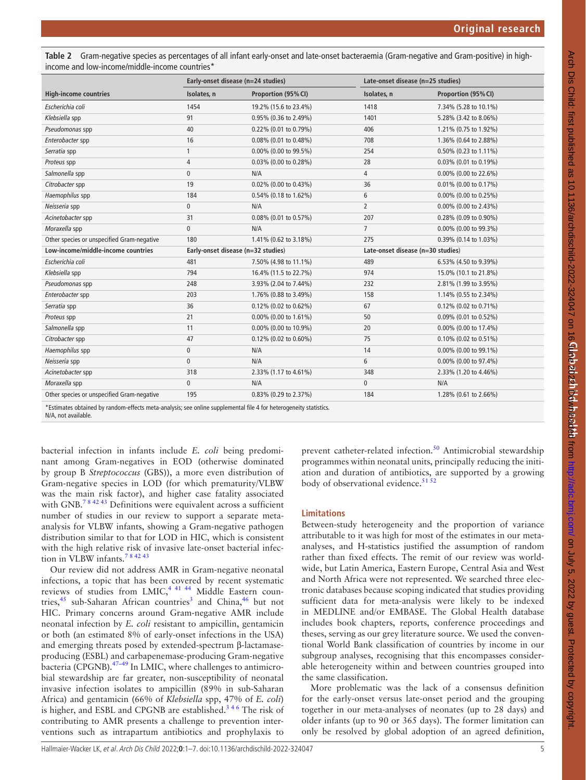<span id="page-4-0"></span>**Table 2** Gram-negative species as percentages of all infant early-onset and late-onset bacteraemia (Gram-negative and Gram-positive) in highincome and low-income/middle-income countries\*

| Early-onset disease (n=24 studies) |                       | Late-onset disease (n=25 studies) |                       |  |
|------------------------------------|-----------------------|-----------------------------------|-----------------------|--|
| Isolates, n                        | Proportion (95% CI)   | Isolates, n                       | Proportion (95% CI)   |  |
| 1454                               | 19.2% (15.6 to 23.4%) | 1418                              | 7.34% (5.28 to 10.1%) |  |
| 91                                 | 0.95% (0.36 to 2.49%) | 1401                              | 5.28% (3.42 to 8.06%) |  |
| 40                                 | 0.22% (0.01 to 0.79%) | 406                               | 1.21% (0.75 to 1.92%) |  |
| 16                                 | 0.08% (0.01 to 0.48%) | 708                               | 1.36% (0.64 to 2.88%) |  |
| 1                                  | 0.00% (0.00 to 99.5%) | 254                               | 0.50% (0.23 to 1.11%) |  |
| $\overline{4}$                     | 0.03% (0.00 to 0.28%) | 28                                | 0.03% (0.01 to 0.19%) |  |
| 0                                  | N/A                   | $\overline{4}$                    | 0.00% (0.00 to 22.6%) |  |
| 19                                 | 0.02% (0.00 to 0.43%) | 36                                | 0.01% (0.00 to 0.17%) |  |
| 184                                | 0.54% (0.18 to 1.62%) | 6                                 | 0.00% (0.00 to 0.25%) |  |
| 0                                  | N/A                   | $\overline{2}$                    | 0.00% (0.00 to 2.43%) |  |
| 31                                 | 0.08% (0.01 to 0.57%) | 207                               | 0.28% (0.09 to 0.90%) |  |
| $\mathbf{0}$                       | N/A                   | $\overline{7}$                    | 0.00% (0.00 to 99.3%) |  |
| 180                                | 1.41% (0.62 to 3.18%) | 275                               | 0.39% (0.14 to 1.03%) |  |
| Early-onset disease (n=32 studies) |                       | Late-onset disease (n=30 studies) |                       |  |
| 481                                | 7.50% (4.98 to 11.1%) | 489                               | 6.53% (4.50 to 9.39%) |  |
| 794                                | 16.4% (11.5 to 22.7%) | 974                               | 15.0% (10.1 to 21.8%) |  |
| 248                                | 3.93% (2.04 to 7.44%) | 232                               | 2.81% (1.99 to 3.95%) |  |
| 203                                | 1.76% (0.88 to 3.49%) | 158                               | 1.14% (0.55 to 2.34%) |  |
| 36                                 | 0.12% (0.02 to 0.62%) | 67                                | 0.12% (0.02 to 0.71%) |  |
| 21                                 | 0.00% (0.00 to 1.61%) | 50                                | 0.09% (0.01 to 0.52%) |  |
| 11                                 | 0.00% (0.00 to 10.9%) | 20                                | 0.00% (0.00 to 17.4%) |  |
| 47                                 | 0.12% (0.02 to 0.60%) | 75                                | 0.10% (0.02 to 0.51%) |  |
| $\mathbf{0}$                       | N/A                   | 14                                | 0.00% (0.00 to 99.1%) |  |
| $\overline{0}$                     | N/A                   | 6                                 | 0.00% (0.00 to 97.4%) |  |
| 318                                | 2.33% (1.17 to 4.61%) | 348                               | 2.33% (1.20 to 4.46%) |  |
| 0                                  | N/A                   | $\mathbf{0}$                      | N/A                   |  |
| 195                                | 0.83% (0.29 to 2.37%) | 184                               | 1.28% (0.61 to 2.66%) |  |
|                                    |                       |                                   |                       |  |

\*Estimates obtained by random-effects meta-analysis; see [online supplemental file 4](https://dx.doi.org/10.1136/archdischild-2022-324047) for heterogeneity statistics.

N/A, not available.

bacterial infection in infants include *E. coli* being predominant among Gram-negatives in EOD (otherwise dominated by group B *Streptococcus* (GBS)), a more even distribution of Gram-negative species in LOD (for which prematurity/VLBW was the main risk factor), and higher case fatality associated with GNB.<sup>784243</sup> Definitions were equivalent across a sufficient number of studies in our review to support a separate metaanalysis for VLBW infants, showing a Gram-negative pathogen distribution similar to that for LOD in HIC, which is consistent with the high relative risk of invasive late-onset bacterial infection in VLBW infants.<sup>78 42 43</sup>

Our review did not address AMR in Gram-negative neonatal infections, a topic that has been covered by recent systematic reviews of studies from  $LMIC<sub>2</sub><sup>4-41-44</sup>$  Middle Eastern coun-tries,<sup>45</sup> sub-Saharan African countries<sup>[3](#page-5-2)</sup> and China,<sup>46</sup> but not HIC. Primary concerns around Gram-negative AMR include neonatal infection by *E. coli* resistant to ampicillin, gentamicin or both (an estimated 8% of early-onset infections in the USA) and emerging threats posed by extended-spectrum β-lactamaseproducing (ESBL) and carbapenemase-producing Gram-negative bacteria (CPGNB). $47-49$  In LMIC, where challenges to antimicrobial stewardship are far greater, non-susceptibility of neonatal invasive infection isolates to ampicillin (89% in sub-Saharan Africa) and gentamicin (66% of *Klebsiella* spp, 47% of *E. coli*) is higher, and ESBL and CPGNB are established.[3 4 6](#page-5-2) The risk of contributing to AMR presents a challenge to prevention interventions such as intrapartum antibiotics and prophylaxis to

prevent catheter-related infection.<sup>50</sup> Antimicrobial stewardship programmes within neonatal units, principally reducing the initiation and duration of antibiotics, are supported by a growing body of observational evidence.<sup>[51 52](#page-6-13)</sup>

## **Limitations**

Between-study heterogeneity and the proportion of variance attributable to it was high for most of the estimates in our metaanalyses, and H-statistics justified the assumption of random rather than fixed effects. The remit of our review was worldwide, but Latin America, Eastern Europe, Central Asia and West and North Africa were not represented. We searched three electronic databases because scoping indicated that studies providing sufficient data for meta-analysis were likely to be indexed in MEDLINE and/or EMBASE. The Global Health database includes book chapters, reports, conference proceedings and theses, serving as our grey literature source. We used the conventional World Bank classification of countries by income in our subgroup analyses, recognising that this encompasses considerable heterogeneity within and between countries grouped into the same classification.

More problematic was the lack of a consensus definition for the early-onset versus late-onset period and the grouping together in our meta-analyses of neonates (up to 28 days) and older infants (up to 90 or 365 days). The former limitation can only be resolved by global adoption of an agreed definition,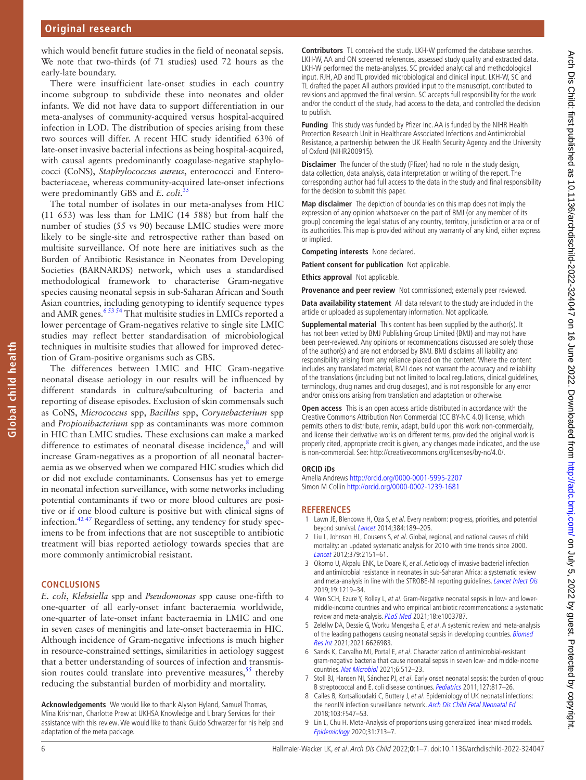which would benefit future studies in the field of neonatal sepsis. We note that two-thirds (of 71 studies) used 72 hours as the early-late boundary.

There were insufficient late-onset studies in each country income subgroup to subdivide these into neonates and older infants. We did not have data to support differentiation in our meta-analyses of community-acquired versus hospital-acquired infection in LOD. The distribution of species arising from these two sources will differ. A recent HIC study identified 63% of late-onset invasive bacterial infections as being hospital-acquired, with causal agents predominantly coagulase-negative staphylococci (CoNS), *Staphylococcus aureus*, enterococci and Enterobacteriaceae, whereas community-acquired late-onset infections were predominantly GBS and *E. coli*. [35](#page-6-14)

The total number of isolates in our meta-analyses from HIC (11 653) was less than for LMIC (14 588) but from half the number of studies (55 vs 90) because LMIC studies were more likely to be single-site and retrospective rather than based on multisite surveillance. Of note here are initiatives such as the Burden of Antibiotic Resistance in Neonates from Developing Societies (BARNARDS) network, which uses a standardised methodological framework to characterise Gram-negative species causing neonatal sepsis in sub-Saharan African and South Asian countries, including genotyping to identify sequence types and AMR genes.<sup>6 53 54</sup> That multisite studies in LMICs reported a lower percentage of Gram-negatives relative to single site LMIC studies may reflect better standardisation of microbiological techniques in multisite studies that allowed for improved detection of Gram-positive organisms such as GBS.

The differences between LMIC and HIC Gram-negative neonatal disease aetiology in our results will be influenced by different standards in culture/subculturing of bacteria and reporting of disease episodes. Exclusion of skin commensals such as CoNS, *Micrococcus* spp, *Bacillus* spp, *Corynebacterium* spp and *Propionibacterium* spp as contaminants was more common in HIC than LMIC studies. These exclusions can make a marked difference to estimates of neonatal disease incidence,<sup>[8](#page-5-5)</sup> and will increase Gram-negatives as a proportion of all neonatal bacteraemia as we observed when we compared HIC studies which did or did not exclude contaminants. Consensus has yet to emerge in neonatal infection surveillance, with some networks including potential contaminants if two or more blood cultures are positive or if one blood culture is positive but with clinical signs of infection.[42 47](#page-6-8) Regardless of setting, any tendency for study specimens to be from infections that are not susceptible to antibiotic treatment will bias reported aetiology towards species that are more commonly antimicrobial resistant.

#### **CONCLUSIONS**

*E. coli*, *Klebsiella* spp and *Pseudomonas* spp cause one-fifth to one-quarter of all early-onset infant bacteraemia worldwide, one-quarter of late-onset infant bacteraemia in LMIC and one in seven cases of meningitis and late-onset bacteraemia in HIC. Although incidence of Gram-negative infections is much higher in resource-constrained settings, similarities in aetiology suggest that a better understanding of sources of infection and transmission routes could translate into preventive measures,  $55$  thereby reducing the substantial burden of morbidity and mortality.

**Acknowledgements** We would like to thank Alyson Hyland, Samuel Thomas, Mina Krishnan, Charlotte Prew at UKHSA Knowledge and Library Services for their assistance with this review. We would like to thank Guido Schwarzer for his help and adaptation of the meta package.

**Contributors** TL conceived the study. LKH-W performed the database searches. LKH-W, AA and ON screened references, assessed study quality and extracted data. LKH-W performed the meta-analyses. SC provided analytical and methodological input. RJH, AD and TL provided microbiological and clinical input. LKH-W, SC and TL drafted the paper. All authors provided input to the manuscript, contributed to revisions and approved the final version. SC accepts full responsibility for the work and/or the conduct of the study, had access to the data, and controlled the decision to publish.

**Funding** This study was funded by Pfizer Inc. AA is funded by the NIHR Health Protection Research Unit in Healthcare Associated Infections and Antimicrobial Resistance, a partnership between the UK Health Security Agency and the University of Oxford (NIHR200915).

**Disclaimer** The funder of the study (Pfizer) had no role in the study design, data collection, data analysis, data interpretation or writing of the report. The corresponding author had full access to the data in the study and final responsibility for the decision to submit this paper.

**Map disclaimer** The depiction of boundaries on this map does not imply the expression of any opinion whatsoever on the part of BMJ (or any member of its group) concerning the legal status of any country, territory, jurisdiction or area or of its authorities. This map is provided without any warranty of any kind, either express or implied.

**Competing interests** None declared.

**Patient consent for publication** Not applicable.

**Ethics approval** Not applicable.

**Provenance and peer review** Not commissioned; externally peer reviewed.

**Data availability statement** All data relevant to the study are included in the article or uploaded as supplementary information. Not applicable.

**Supplemental material** This content has been supplied by the author(s). It has not been vetted by BMJ Publishing Group Limited (BMJ) and may not have been peer-reviewed. Any opinions or recommendations discussed are solely those of the author(s) and are not endorsed by BMJ. BMJ disclaims all liability and responsibility arising from any reliance placed on the content. Where the content includes any translated material, BMJ does not warrant the accuracy and reliability of the translations (including but not limited to local regulations, clinical guidelines, terminology, drug names and drug dosages), and is not responsible for any error and/or omissions arising from translation and adaptation or otherwise.

**Open access** This is an open access article distributed in accordance with the Creative Commons Attribution Non Commercial (CC BY-NC 4.0) license, which permits others to distribute, remix, adapt, build upon this work non-commercially, and license their derivative works on different terms, provided the original work is properly cited, appropriate credit is given, any changes made indicated, and the use is non-commercial. See: [http://creativecommons.org/licenses/by-nc/4.0/.](http://creativecommons.org/licenses/by-nc/4.0/)

#### **ORCID iDs**

Amelia Andrews <http://orcid.org/0000-0001-5995-2207> Simon M Collin <http://orcid.org/0000-0002-1239-1681>

#### **REFERENCES**

- <span id="page-5-0"></span>1 Lawn JE, Blencowe H, Oza S, et al. Every newborn: progress, priorities, and potential beyond survival. [Lancet](http://dx.doi.org/10.1016/S0140-6736(14)60496-7) 2014;384:189–205.
- <span id="page-5-1"></span>2 Liu L, Johnson HL, Cousens S, et al. Global, regional, and national causes of child mortality: an updated systematic analysis for 2010 with time trends since 2000. [Lancet](http://dx.doi.org/10.1016/S0140-6736(12)60560-1) 2012;379:2151–61.
- <span id="page-5-2"></span>3 Okomo U, Akpalu ENK, Le Doare K, et al. Aetiology of invasive bacterial infection and antimicrobial resistance in neonates in sub-Saharan Africa: a systematic review and meta-analysis in line with the STROBE-NI reporting guidelines. [Lancet Infect Dis](http://dx.doi.org/10.1016/S1473-3099(19)30414-1) 2019;19:1219–34.
- <span id="page-5-6"></span>4 Wen SCH, Ezure Y, Rolley L, et al. Gram-Negative neonatal sepsis in low- and lowermiddle-income countries and who empirical antibiotic recommendations: a systematic review and meta-analysis. [PLoS Med](http://dx.doi.org/10.1371/journal.pmed.1003787) 2021;18:e1003787.
- 5 Zelellw DA, Dessie G, Worku Mengesha E, et al. A systemic review and meta-analysis of the leading pathogens causing neonatal sepsis in developing countries. [Biomed](http://dx.doi.org/10.1155/2021/6626983)  [Res Int](http://dx.doi.org/10.1155/2021/6626983) 2021;2021:6626983.
- <span id="page-5-7"></span>6 Sands K, Carvalho MJ, Portal E, et al. Characterization of antimicrobial-resistant gram-negative bacteria that cause neonatal sepsis in seven low- and middle-income countries. [Nat Microbiol](http://dx.doi.org/10.1038/s41564-021-00870-7) 2021;6:512-23.
- <span id="page-5-4"></span>7 Stoll BJ, Hansen NI, Sánchez PJ, et al. Early onset neonatal sepsis: the burden of group B streptococcal and E. coli disease continues. [Pediatrics](http://dx.doi.org/10.1542/peds.2010-2217) 2011;127:817–26.
- <span id="page-5-5"></span>Cailes B, Kortsalioudaki C, Buttery J, et al. Epidemiology of UK neonatal infections: the neonIN infection surveillance network. [Arch Dis Child Fetal Neonatal Ed](http://dx.doi.org/10.1136/archdischild-2017-313203) 2018;103:F547–53.
- <span id="page-5-3"></span>9 Lin L, Chu H. Meta-Analysis of proportions using generalized linear mixed models. [Epidemiology](http://dx.doi.org/10.1097/EDE.0000000000001232) 2020;31:713–7.